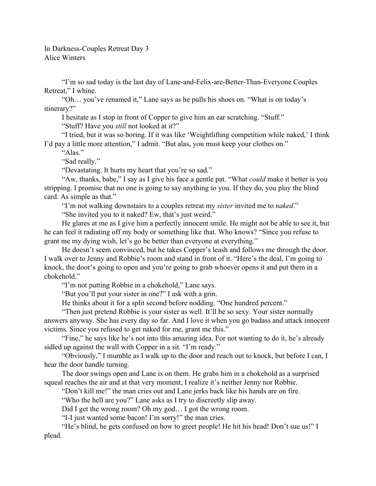## In Darkness-Couples Retreat Day 3 Alice Winters

"I'm so sad today is the last day of Lane-and-Felix-are-Better-Than-Everyone Couples Retreat," I whine.

"Oh… you've renamed it," Lane says as he pulls his shoes on. "What is on today's itinerary?"

I hesitate as I stop in front of Copper to give him an ear scratching. "Stuff." "Stuff? Have you *still* not looked at it?"

"I tried, but it was so boring. If it was like 'Weightlifting competition while naked,' I think I'd pay a little more attention," I admit. "But alas, you must keep your clothes on."

"Alas."

"Sad really."

"Devastating. It hurts my heart that you're so sad."

"Aw, thanks, babe," I say as I give his face a gentle pat. "What *could* make it better is you stripping. I promise that no one is going to say anything to you. If they do, you play the blind card. As simple as that."

"I'm not walking downstairs to a couples retreat my *sister* invited me to *naked*."

"She invited you to it naked? Ew, that's just weird."

He glares at me as I give him a perfectly innocent smile. He might not be able to see it, but he can feel it radiating off my body or something like that. Who knows? "Since you refuse to grant me my dying wish, let's go be better than everyone at everything."

He doesn't seem convinced, but he takes Copper's leash and follows me through the door. I walk over to Jenny and Robbie's room and stand in front of it. "Here's the deal, I'm going to knock, the door's going to open and you're going to grab whoever opens it and put them in a chokehold."

"I'm not putting Robbie in a chokehold," Lane says.

"But you'll put your sister in one?" I ask with a grin.

He thinks about it for a split second before nodding. "One hundred percent."

"Then just pretend Robbie is your sister as well. It'll be so sexy. Your sister normally answers anyway. She has every day so far. And I love it when you go badass and attack innocent victims. Since you refused to get naked for me, grant me this."

"Fine," he says like he's not into this amazing idea. For not wanting to do it, he's already sidled up against the wall with Copper in a sit. "I'm ready."

"Obviously," I mumble as I walk up to the door and reach out to knock, but before I can, I hear the door handle turning.

The door swings open and Lane is on them. He grabs him in a chokehold as a surprised squeal reaches the air and at that very moment, I realize it's neither Jenny nor Robbie.

"Don't kill me!" the man cries out and Lane jerks back like his hands are on fire.

"Who the hell are you?" Lane asks as I try to discreetly slip away.

Did I get the wrong room? Oh my god... I got the wrong room.

"I-I just wanted some bacon! I'm sorry!" the man cries.

"He's blind, he gets confused on how to greet people! He hit his head! Don't sue us!" I plead.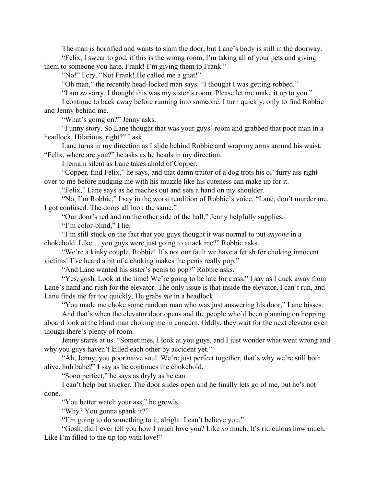The man is horrified and wants to slam the door, but Lane's body is still in the doorway. "Felix, I swear to god, if this is the wrong room, I'm taking all of your pets and giving them to someone you hate. Frank! I'm giving them to Frank."

"No!" I cry. "Not Frank! He called me a gnat!"

"Oh man," the recently head-locked man says. "I thought I was getting robbed."

"I am *so* sorry. I thought this was my sister's room. Please let me make it up to you."

I continue to back away before running into someone. I turn quickly, only to find Robbie and Jenny behind me.

"What's going on?" Jenny asks.

"Funny story. So Lane thought that was your guys' room and grabbed that poor man in a headlock. Hilarious, right?" I ask.

Lane turns in my direction as I slide behind Robbie and wrap my arms around his waist. "Felix, where are you?" he asks as he heads in my direction.

I remain silent as Lane takes ahold of Copper.

"Copper, find Felix," he says, and that damn traitor of a dog trots his ol' furry ass right over to me before nudging me with his muzzle like his cuteness can make up for it.

"Felix," Lane says as he reaches out and sets a hand on my shoulder.

"No, I'm Robbie," I say in the worst rendition of Robbie's voice. "Lane, don't murder me. I got confused. The doors all look the same."

"Our door's red and on the other side of the hall," Jenny helpfully supplies.

"I'm color-blind," I lie.

"I'm still stuck on the fact that you guys thought it was normal to put *anyone* in a chokehold. Like… you guys were just going to attack me?" Robbie asks.

"We're a kinky couple, Robbie! It's not our fault we have a fetish for choking innocent victims! I've heard a bit of a choking makes the penis really pop."

"And Lane wanted his sister's penis to pop?" Robbie asks.

"Yes, gosh. Look at the time! We're going to be late for class," I say as I duck away from Lane's hand and rush for the elevator. The only issue is that inside the elevator, I can't run, and Lane finds me far too quickly. He grabs *me* in a headlock.

"You made me choke some random man who was just answering his door," Lane hisses.

And that's when the elevator door opens and the people who'd been planning on hopping aboard look at the blind man choking me in concern. Oddly, they wait for the next elevator even though there's plenty of room.

Jenny stares at us. "Sometimes, I look at you guys, and I just wonder what went wrong and why you guys haven't killed each other by accident yet."

"Ah, Jenny, you poor naive soul. We're just perfect together, that's why we're still both alive, huh babe?" I say as he continues the chokehold.

"Sooo perfect," he says as dryly as he can.

I can't help but snicker. The door slides open and he finally lets go of me, but he's not done.

"You better watch your ass," he growls.

"Why? You gonna spank it?"

"I'm going to do something to it, alright. I can't believe you."

"Gosh, did I ever tell you how I much love you? Like *so* much. It's ridiculous how much. Like I'm filled to the tip top with love!"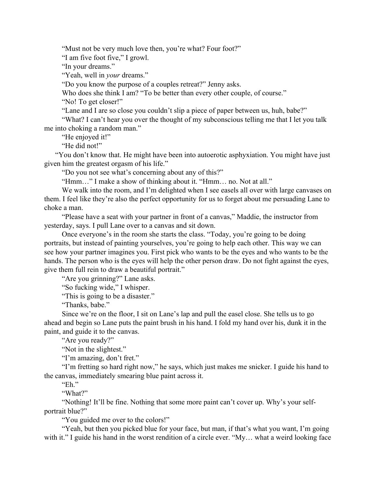"Must not be very much love then, you're what? Four foot?"

"I am five foot five," I growl.

"In your dreams."

"Yeah, well in *your* dreams."

"Do you know the purpose of a couples retreat?" Jenny asks.

Who does she think I am? "To be better than every other couple, of course."

"No! To get closer!"

"Lane and I are so close you couldn't slip a piece of paper between us, huh, babe?"

"What? I can't hear you over the thought of my subconscious telling me that I let you talk me into choking a random man."

"He enjoyed it!"

"He did not!"

"You don't know that. He might have been into autoerotic asphyxiation. You might have just given him the greatest orgasm of his life."

"Do you not see what's concerning about any of this?"

"Hmm…" I make a show of thinking about it. "Hmm… no. Not at all."

We walk into the room, and I'm delighted when I see easels all over with large canvases on them. I feel like they're also the perfect opportunity for us to forget about me persuading Lane to choke a man.

"Please have a seat with your partner in front of a canvas," Maddie, the instructor from yesterday, says. I pull Lane over to a canvas and sit down.

Once everyone's in the room she starts the class. "Today, you're going to be doing portraits, but instead of painting yourselves, you're going to help each other. This way we can see how your partner imagines you. First pick who wants to be the eyes and who wants to be the hands. The person who is the eyes will help the other person draw. Do not fight against the eyes, give them full rein to draw a beautiful portrait."

"Are you grinning?" Lane asks.

"So fucking wide," I whisper.

"This is going to be a disaster."

"Thanks, babe."

Since we're on the floor, I sit on Lane's lap and pull the easel close. She tells us to go ahead and begin so Lane puts the paint brush in his hand. I fold my hand over his, dunk it in the paint, and guide it to the canvas.

"Are you ready?"

"Not in the slightest."

"I'm amazing, don't fret."

"I'm fretting so hard right now," he says, which just makes me snicker. I guide his hand to the canvas, immediately smearing blue paint across it.

"Eh."

"What?"

"Nothing! It'll be fine. Nothing that some more paint can't cover up. Why's your selfportrait blue?"

"You guided me over to the colors!"

"Yeah, but then you picked blue for your face, but man, if that's what you want, I'm going with it." I guide his hand in the worst rendition of a circle ever. "My… what a weird looking face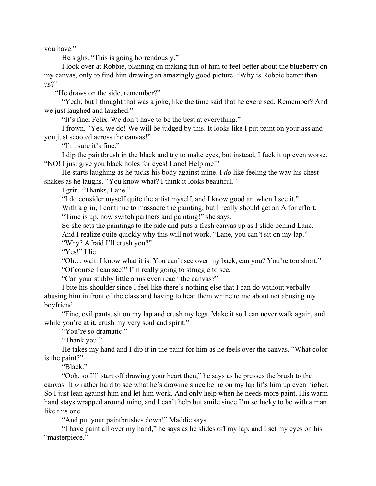you have."

He sighs. "This is going horrendously."

I look over at Robbie, planning on making fun of him to feel better about the blueberry on my canvas, only to find him drawing an amazingly good picture. "Why is Robbie better than us?"

"He draws on the side, remember?"

"Yeah, but I thought that was a joke, like the time said that he exercised. Remember? And we just laughed and laughed."

"It's fine, Felix. We don't have to be the best at everything."

I frown. "Yes, we do! We will be judged by this. It looks like I put paint on your ass and you just scooted across the canvas!"

"I'm sure it's fine."

I dip the paintbrush in the black and try to make eyes, but instead, I fuck it up even worse. "NO! I just give you black holes for eyes! Lane! Help me!"

He starts laughing as he tucks his body against mine. I *do* like feeling the way his chest shakes as he laughs. "You know what? I think it looks beautiful."

I grin. "Thanks, Lane."

"I do consider myself quite the artist myself, and I know good art when I see it."

With a grin, I continue to massacre the painting, but I really should get an A for effort. "Time is up, now switch partners and painting!" she says.

So she sets the paintings to the side and puts a fresh canvas up as I slide behind Lane. And I realize quite quickly why this will not work. "Lane, you can't sit on my lap." "Why? Afraid I'll crush you?"

"Yes!" I lie.

"Oh… wait. I know what it is. You can't see over my back, can you? You're too short." "Of course I can see!" I'm really going to struggle to see.

"Can your stubby little arms even reach the canvas?"

I bite his shoulder since I feel like there's nothing else that I can do without verbally abusing him in front of the class and having to hear them whine to me about not abusing my boyfriend.

"Fine, evil pants, sit on my lap and crush my legs. Make it so I can never walk again, and while you're at it, crush my very soul and spirit."

"You're so dramatic."

"Thank you."

He takes my hand and I dip it in the paint for him as he feels over the canvas. "What color is the paint?"

"Black."

"Ooh, so I'll start off drawing your heart then," he says as he presses the brush to the canvas. It *is* rather hard to see what he's drawing since being on my lap lifts him up even higher. So I just lean against him and let him work. And only help when he needs more paint. His warm hand stays wrapped around mine, and I can't help but smile since I'm so lucky to be with a man like this one.

"And put your paintbrushes down!" Maddie says.

"I have paint all over my hand," he says as he slides off my lap, and I set my eyes on his "masterpiece."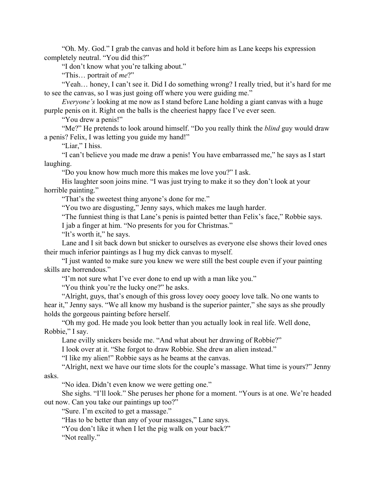"Oh. My. God." I grab the canvas and hold it before him as Lane keeps his expression completely neutral. "You did this?"

"I don't know what you're talking about."

"This… portrait of *me*?"

"Yeah… honey, I can't see it. Did I do something wrong? I really tried, but it's hard for me to see the canvas, so I was just going off where you were guiding me."

*Everyone's* looking at me now as I stand before Lane holding a giant canvas with a huge purple penis on it. Right on the balls is the cheeriest happy face I've ever seen.

"You drew a penis!"

"Me?" He pretends to look around himself. "Do you really think the *blind* guy would draw a penis? Felix, I was letting you guide my hand!"

"Liar," I hiss.

"I can't believe you made me draw a penis! You have embarrassed me," he says as I start laughing.

"Do you know how much more this makes me love you?" I ask.

His laughter soon joins mine. "I was just trying to make it so they don't look at your horrible painting."

"That's the sweetest thing anyone's done for me."

"You two are disgusting," Jenny says, which makes me laugh harder.

"The funniest thing is that Lane's penis is painted better than Felix's face," Robbie says.

I jab a finger at him. "No presents for you for Christmas."

"It's worth it," he says.

Lane and I sit back down but snicker to ourselves as everyone else shows their loved ones their much inferior paintings as I hug my dick canvas to myself.

"I just wanted to make sure you knew we were still the best couple even if your painting skills are horrendous."

"I'm not sure what I've ever done to end up with a man like you."

"You think you're the lucky one?" he asks.

"Alright, guys, that's enough of this gross lovey ooey gooey love talk. No one wants to hear it," Jenny says. "We all know my husband is the superior painter," she says as she proudly holds the gorgeous painting before herself.

"Oh my god. He made you look better than you actually look in real life. Well done, Robbie," I say.

Lane evilly snickers beside me. "And what about her drawing of Robbie?"

I look over at it. "She forgot to draw Robbie. She drew an alien instead."

"I like my alien!" Robbie says as he beams at the canvas.

"Alright, next we have our time slots for the couple's massage. What time is yours?" Jenny

asks.

"No idea. Didn't even know we were getting one."

She sighs. "I'll look." She peruses her phone for a moment. "Yours is at one. We're headed out now. Can you take our paintings up too?"

"Sure. I'm excited to get a massage."

"Has to be better than any of your massages," Lane says.

"You don't like it when I let the pig walk on your back?"

"Not really."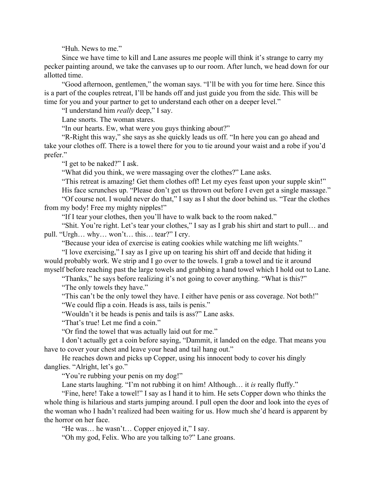"Huh. News to me."

Since we have time to kill and Lane assures me people will think it's strange to carry my pecker painting around, we take the canvases up to our room. After lunch, we head down for our allotted time.

"Good afternoon, gentlemen," the woman says. "I'll be with you for time here. Since this is a part of the couples retreat, I'll be hands off and just guide you from the side. This will be time for you and your partner to get to understand each other on a deeper level."

"I understand him *really* deep," I say.

Lane snorts. The woman stares.

"In our hearts. Ew, what were you guys thinking about?"

"R-Right this way," she says as she quickly leads us off. "In here you can go ahead and take your clothes off. There is a towel there for you to tie around your waist and a robe if you'd prefer."

"I get to be naked?" I ask.

"What did you think, we were massaging over the clothes?" Lane asks.

"This retreat is amazing! Get them clothes off! Let my eyes feast upon your supple skin!" His face scrunches up. "Please don't get us thrown out before I even get a single massage."

"Of course not. I would never do that," I say as I shut the door behind us. "Tear the clothes from my body! Free my mighty nipples!"

"If I tear your clothes, then you'll have to walk back to the room naked."

"Shit. You're right. Let's tear your clothes," I say as I grab his shirt and start to pull… and pull. "Urgh… why… won't… this… tear?" I cry.

"Because your idea of exercise is eating cookies while watching me lift weights."

"I love exercising," I say as I give up on tearing his shirt off and decide that hiding it would probably work. We strip and I go over to the towels. I grab a towel and tie it around myself before reaching past the large towels and grabbing a hand towel which I hold out to Lane.

"Thanks," he says before realizing it's not going to cover anything. "What is this?"

"The only towels they have."

"This can't be the only towel they have. I either have penis or ass coverage. Not both!"

"We could flip a coin. Heads is ass, tails is penis."

"Wouldn't it be heads is penis and tails is ass?" Lane asks.

"That's true! Let me find a coin."

"Or find the towel that was actually laid out for me."

I don't actually get a coin before saying, "Dammit, it landed on the edge. That means you have to cover your chest and leave your head and tail hang out."

He reaches down and picks up Copper, using his innocent body to cover his dingly danglies. "Alright, let's go."

"You're rubbing your penis on my dog!"

Lane starts laughing. "I'm not rubbing it on him! Although… it *is* really fluffy."

"Fine, here! Take a towel!" I say as I hand it to him. He sets Copper down who thinks the whole thing is hilarious and starts jumping around. I pull open the door and look into the eyes of the woman who I hadn't realized had been waiting for us. How much she'd heard is apparent by the horror on her face.

"He was… he wasn't… Copper enjoyed it," I say.

"Oh my god, Felix. Who are you talking to?" Lane groans.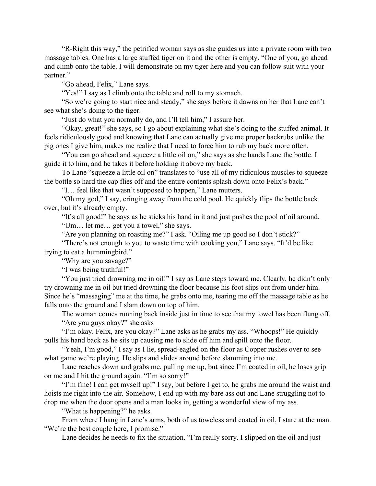"R-Right this way," the petrified woman says as she guides us into a private room with two massage tables. One has a large stuffed tiger on it and the other is empty. "One of you, go ahead and climb onto the table. I will demonstrate on my tiger here and you can follow suit with your partner."

"Go ahead, Felix," Lane says.

"Yes!" I say as I climb onto the table and roll to my stomach.

"So we're going to start nice and steady," she says before it dawns on her that Lane can't see what she's doing to the tiger.

"Just do what you normally do, and I'll tell him," I assure her.

"Okay, great!" she says, so I go about explaining what she's doing to the stuffed animal. It feels ridiculously good and knowing that Lane can actually give me proper backrubs unlike the pig ones I give him, makes me realize that I need to force him to rub my back more often.

"You can go ahead and squeeze a little oil on," she says as she hands Lane the bottle. I guide it to him, and he takes it before holding it above my back.

To Lane "squeeze a little oil on" translates to "use all of my ridiculous muscles to squeeze the bottle so hard the cap flies off and the entire contents splash down onto Felix's back."

"I… feel like that wasn't supposed to happen," Lane mutters.

"Oh my god," I say, cringing away from the cold pool. He quickly flips the bottle back over, but it's already empty.

"It's all good!" he says as he sticks his hand in it and just pushes the pool of oil around. "Um… let me… get you a towel," she says.

"Are you planning on roasting me?" I ask. "Oiling me up good so I don't stick?"

"There's not enough to you to waste time with cooking you," Lane says. "It'd be like trying to eat a hummingbird."

"Why are you savage?"

"I was being truthful!"

"You just tried drowning me in oil!" I say as Lane steps toward me. Clearly, he didn't only try drowning me in oil but tried drowning the floor because his foot slips out from under him. Since he's "massaging" me at the time, he grabs onto me, tearing me off the massage table as he falls onto the ground and I slam down on top of him.

The woman comes running back inside just in time to see that my towel has been flung off. "Are you guys okay?" she asks

"I'm okay. Felix, are you okay?" Lane asks as he grabs my ass. "Whoops!" He quickly pulls his hand back as he sits up causing me to slide off him and spill onto the floor.

"Yeah, I'm good," I say as I lie, spread-eagled on the floor as Copper rushes over to see what game we're playing. He slips and slides around before slamming into me.

Lane reaches down and grabs me, pulling me up, but since I'm coated in oil, he loses grip on me and I hit the ground again. "I'm so sorry!"

"I'm fine! I can get myself up!" I say, but before I get to, he grabs me around the waist and hoists me right into the air. Somehow, I end up with my bare ass out and Lane struggling not to drop me when the door opens and a man looks in, getting a wonderful view of my ass.

"What is happening?" he asks.

From where I hang in Lane's arms, both of us toweless and coated in oil, I stare at the man. "We're the best couple here, I promise."

Lane decides he needs to fix the situation. "I'm really sorry. I slipped on the oil and just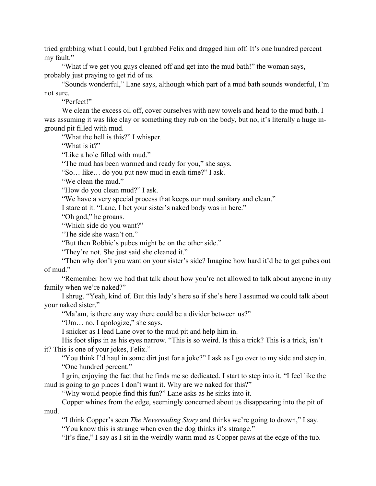tried grabbing what I could, but I grabbed Felix and dragged him off. It's one hundred percent my fault."

"What if we get you guys cleaned off and get into the mud bath!" the woman says, probably just praying to get rid of us.

"Sounds wonderful," Lane says, although which part of a mud bath sounds wonderful, I'm not sure.

"Perfect!"

We clean the excess oil off, cover ourselves with new towels and head to the mud bath. I was assuming it was like clay or something they rub on the body, but no, it's literally a huge inground pit filled with mud.

"What the hell is this?" I whisper.

"What is it?"

"Like a hole filled with mud."

"The mud has been warmed and ready for you," she says.

"So… like… do you put new mud in each time?" I ask.

"We clean the mud."

"How do you clean mud?" I ask.

"We have a very special process that keeps our mud sanitary and clean."

I stare at it. "Lane, I bet your sister's naked body was in here."

"Oh god," he groans.

"Which side do you want?"

"The side she wasn't on."

"But then Robbie's pubes might be on the other side."

"They're not. She just said she cleaned it."

"Then why don't you want on your sister's side? Imagine how hard it'd be to get pubes out of mud."

"Remember how we had that talk about how you're not allowed to talk about anyone in my family when we're naked?"

I shrug. "Yeah, kind of. But this lady's here so if she's here I assumed we could talk about your naked sister."

"Ma'am, is there any way there could be a divider between us?"

"Um… no. I apologize," she says.

I snicker as I lead Lane over to the mud pit and help him in.

His foot slips in as his eyes narrow. "This is so weird. Is this a trick? This is a trick, isn't it? This is one of your jokes, Felix."

"You think I'd haul in some dirt just for a joke?" I ask as I go over to my side and step in. "One hundred percent."

I grin, enjoying the fact that he finds me so dedicated. I start to step into it. "I feel like the mud is going to go places I don't want it. Why are we naked for this?"

"Why would people find this fun?" Lane asks as he sinks into it.

Copper whines from the edge, seemingly concerned about us disappearing into the pit of mud.

"I think Copper's seen *The Neverending Story* and thinks we're going to drown," I say. "You know this is strange when even the dog thinks it's strange."

"It's fine," I say as I sit in the weirdly warm mud as Copper paws at the edge of the tub.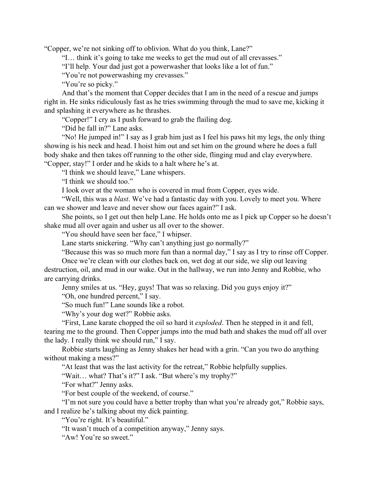"Copper, we're not sinking off to oblivion. What do you think, Lane?"

"I… think it's going to take me weeks to get the mud out of all crevasses."

"I'll help. Your dad just got a powerwasher that looks like a lot of fun."

"You're not powerwashing my crevasses."

"You're so picky."

And that's the moment that Copper decides that I am in the need of a rescue and jumps right in. He sinks ridiculously fast as he tries swimming through the mud to save me, kicking it and splashing it everywhere as he thrashes.

"Copper!" I cry as I push forward to grab the flailing dog.

"Did he fall in?" Lane asks.

"No! He jumped in!" I say as I grab him just as I feel his paws hit my legs, the only thing showing is his neck and head. I hoist him out and set him on the ground where he does a full body shake and then takes off running to the other side, flinging mud and clay everywhere. "Copper, stay!" I order and he skids to a halt where he's at.

"I think we should leave," Lane whispers.

"I think we should too."

I look over at the woman who is covered in mud from Copper, eyes wide.

"Well, this was a *blast*. We've had a fantastic day with you. Lovely to meet you. Where can we shower and leave and never show our faces again?" I ask.

She points, so I get out then help Lane. He holds onto me as I pick up Copper so he doesn't shake mud all over again and usher us all over to the shower.

"You should have seen her face," I whipser.

Lane starts snickering. "Why can't anything just go normally?"

"Because this was so much more fun than a normal day," I say as I try to rinse off Copper.

Once we're clean with our clothes back on, wet dog at our side, we slip out leaving destruction, oil, and mud in our wake. Out in the hallway, we run into Jenny and Robbie, who are carrying drinks.

Jenny smiles at us. "Hey, guys! That was so relaxing. Did you guys enjoy it?"

"Oh, one hundred percent," I say.

"So much fun!" Lane sounds like a robot.

"Why's your dog wet?" Robbie asks.

"First, Lane karate chopped the oil so hard it *exploded*. Then he stepped in it and fell, tearing me to the ground. Then Copper jumps into the mud bath and shakes the mud off all over the lady. I really think we should run," I say.

Robbie starts laughing as Jenny shakes her head with a grin. "Can you two do anything without making a mess?"

"At least that was the last activity for the retreat," Robbie helpfully supplies.

"Wait… what? That's it?" I ask. "But where's my trophy?"

"For what?" Jenny asks.

"For best couple of the weekend, of course."

"I'm not sure you could have a better trophy than what you're already got," Robbie says, and I realize he's talking about my dick painting.

"You're right. It's beautiful."

"It wasn't much of a competition anyway," Jenny says.

"Aw! You're so sweet."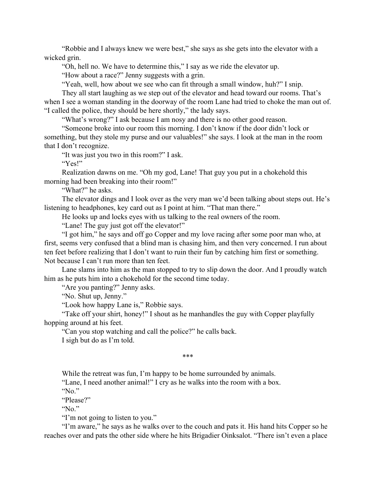"Robbie and I always knew we were best," she says as she gets into the elevator with a wicked grin.

"Oh, hell no. We have to determine this," I say as we ride the elevator up.

"How about a race?" Jenny suggests with a grin.

"Yeah, well, how about we see who can fit through a small window, huh?" I snip.

They all start laughing as we step out of the elevator and head toward our rooms. That's when I see a woman standing in the doorway of the room Lane had tried to choke the man out of. "I called the police, they should be here shortly," the lady says.

"What's wrong?" I ask because I am nosy and there is no other good reason.

"Someone broke into our room this morning. I don't know if the door didn't lock or something, but they stole my purse and our valuables!" she says. I look at the man in the room that I don't recognize.

"It was just you two in this room?" I ask.

"Yes!"

Realization dawns on me. "Oh my god, Lane! That guy you put in a chokehold this morning had been breaking into their room!"

"What?" he asks.

The elevator dings and I look over as the very man we'd been talking about steps out. He's listening to headphones, key card out as I point at him. "That man there."

He looks up and locks eyes with us talking to the real owners of the room.

"Lane! The guy just got off the elevator!"

"I got him," he says and off go Copper and my love racing after some poor man who, at first, seems very confused that a blind man is chasing him, and then very concerned. I run about ten feet before realizing that I don't want to ruin their fun by catching him first or something. Not because I can't run more than ten feet.

Lane slams into him as the man stopped to try to slip down the door. And I proudly watch him as he puts him into a chokehold for the second time today.

"Are you panting?" Jenny asks.

"No. Shut up, Jenny."

"Look how happy Lane is," Robbie says.

"Take off your shirt, honey!" I shout as he manhandles the guy with Copper playfully hopping around at his feet.

"Can you stop watching and call the police?" he calls back.

I sigh but do as I'm told.

\*\*\*

While the retreat was fun, I'm happy to be home surrounded by animals.

"Lane, I need another animal!" I cry as he walks into the room with a box.

"No."

"Please?"

"No."

"I'm not going to listen to you."

"I'm aware," he says as he walks over to the couch and pats it. His hand hits Copper so he reaches over and pats the other side where he hits Brigadier Oinksalot. "There isn't even a place